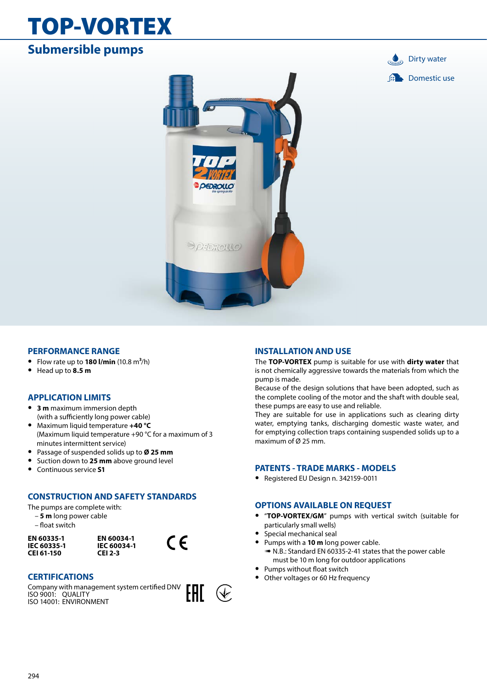# TOP-VORTEX

# **Submersible pumps**





## **PERFORMANCE RANGE**

- **•** Flow rate up to **180 l/min** (10.8 m**3**/h)
- **•** Head up to **8.5 m**

## **APPLICATION LIMITS**

- **• 3 m** maximum immersion depth (with a sufficiently long power cable)
- **•** Maximum liquid temperature **+40 °C** (Maximum liquid temperature +90 °C for a maximum of 3 minutes intermittent service)
- **•** Passage of suspended solids up to **Ø 25 mm**
- **•** Suction down to **25 mm** above ground level
- **•** Continuous service **S1**

## **CONSTRUCTION AND SAFETY STANDARDS**

The pumps are complete with:

- **5 m** long power cable
- float switch

**EN 60335-1 IEC 60335-1 CEI 61-150**



 $\epsilon$ 

 $(\Downarrow)$ 

## **CERTIFICATIONS**

Company with management system certified DNV EAC ISO 9001: QUALITY ISO 14001: ENVIRONMENT



The **TOP-VORTEX** pump is suitable for use with **dirty water** that is not chemically aggressive towards the materials from which the pump is made.

Because of the design solutions that have been adopted, such as the complete cooling of the motor and the shaft with double seal, these pumps are easy to use and reliable.

They are suitable for use in applications such as clearing dirty water, emptying tanks, discharging domestic waste water, and for emptying collection traps containing suspended solids up to a maximum of Ø 25 mm.

## **PATENTS - TRADE MARKS - MODELS**

**•** Registered EU Design n. 342159-0011

## **OPTIONS AVAILABLE ON REQUEST**

- **•** "**TOP-VORTEX/GM**" pumps with vertical switch (suitable for particularly small wells)
- **•** Special mechanical seal
- **•** Pumps with a **10 m** long power cable.
	- ➠ N.B.: Standard EN 60335-2-41 states that the power cable must be 10 m long for outdoor applications
- **•** Pumps without float switch
- Other voltages or 60 Hz frequency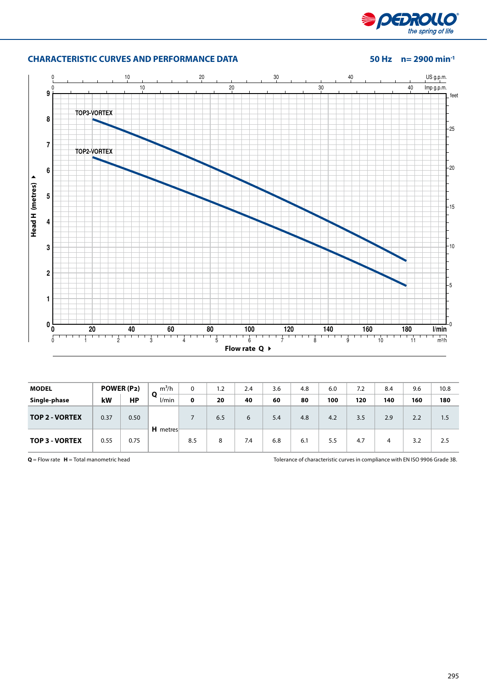

## **CHARACTERISTIC CURVES AND PERFORMANCE DATA 50 Hz n= 2900 min-1**



| <b>MODEL</b>          |      | POWER (P2) | $m^3/h$    | 0   | 1.2 | 2.4 | 3.6 | 4.8 | 6.0 | 7.2 | 8.4 | 9.6 | 10.8 |
|-----------------------|------|------------|------------|-----|-----|-----|-----|-----|-----|-----|-----|-----|------|
| Single-phase          | kW   | <b>HP</b>  | Ο<br>l/min | 0   | 20  | 40  | 60  | 80  | 100 | 120 | 140 | 160 | 180  |
| <b>TOP 2 - VORTEX</b> | 0.37 | 0.50       |            |     | 6.5 | 6   | 5.4 | 4.8 | 4.2 | 3.5 | 2.9 | 2.2 | 1.5  |
| <b>TOP 3 - VORTEX</b> | 0.55 | 0.75       | H metres   | 8.5 | 8   | 7.4 | 6.8 | 6.1 | 5.5 | 4.7 | 4   | 3.2 | 2.5  |

**Q** = Flow rate **H** = Total manometric head Tolerance of characteristic curves in compliance with EN ISO 9906 Grade 3B.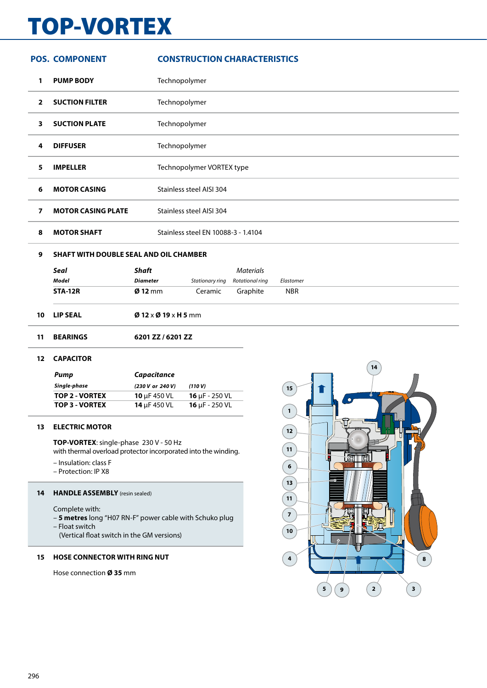# TOP-VORTEX

|                | <b>POS. COMPONENT</b>                         |                          | <b>CONSTRUCTION CHARACTERISTICS</b> |                  |            |  |  |
|----------------|-----------------------------------------------|--------------------------|-------------------------------------|------------------|------------|--|--|
| 1              | <b>PUMP BODY</b>                              |                          | Technopolymer                       |                  |            |  |  |
| $\overline{2}$ | <b>SUCTION FILTER</b>                         |                          | Technopolymer                       |                  |            |  |  |
| 3              | <b>SUCTION PLATE</b>                          |                          | Technopolymer                       |                  |            |  |  |
| 4              | <b>DIFFUSER</b>                               |                          | Technopolymer                       |                  |            |  |  |
| 5              | <b>IMPELLER</b>                               |                          | Technopolymer VORTEX type           |                  |            |  |  |
| 6              | <b>MOTOR CASING</b>                           |                          | Stainless steel AISI 304            |                  |            |  |  |
| $\overline{ }$ | <b>MOTOR CASING PLATE</b>                     |                          | Stainless steel AISI 304            |                  |            |  |  |
| 8              | <b>MOTOR SHAFT</b>                            |                          | Stainless steel EN 10088-3 - 1.4104 |                  |            |  |  |
| 9              | <b>SHAFT WITH DOUBLE SEAL AND OIL CHAMBER</b> |                          |                                     |                  |            |  |  |
|                | <b>Seal</b>                                   | <b>Shaft</b>             |                                     | <b>Materials</b> |            |  |  |
|                | <b>Model</b>                                  | <b>Diameter</b>          | Stationary ring                     | Rotational ring  | Elastomer  |  |  |
|                | <b>STA-12R</b>                                | $Ø$ 12 mm                | Ceramic                             | Graphite         | <b>NBR</b> |  |  |
| 10             | <b>LIP SEAL</b>                               | $Ø$ 12 x $Ø$ 19 x H 5 mm |                                     |                  |            |  |  |
| 11             | <b>BEARINGS</b>                               | 6201 ZZ / 6201 ZZ        |                                     |                  |            |  |  |

### **CAPACITOR**

| Pump                  | Capacitance       |                            |
|-----------------------|-------------------|----------------------------|
| Single-phase          | (230 V or 240 V)  | (110V)                     |
| TOP 2 - VORTEX        | 10 $\mu$ F 450 VL | 16 $\mu$ F - 250 VL        |
| <b>TOP 3 - VORTEX</b> | 14 $\mu$ F 450 VL | <b>16</b> $\mu$ F - 250 VL |

### **ELECTRIC MOTOR**

**TOP-VORTEX**: single-phase 230 V - 50 Hz with thermal overload protector incorporated into the winding.

- Insulation: class F
- Protection: IP X8

## **HANDLE ASSEMBLY** (resin sealed)

Complete with:

- **5 metres** long "H07 RN-F" power cable with Schuko plug
- Float switch
	- (Vertical float switch in the GM versions)

## **HOSE CONNECTOR WITH RING NUT**

Hose connection **Ø 35** mm